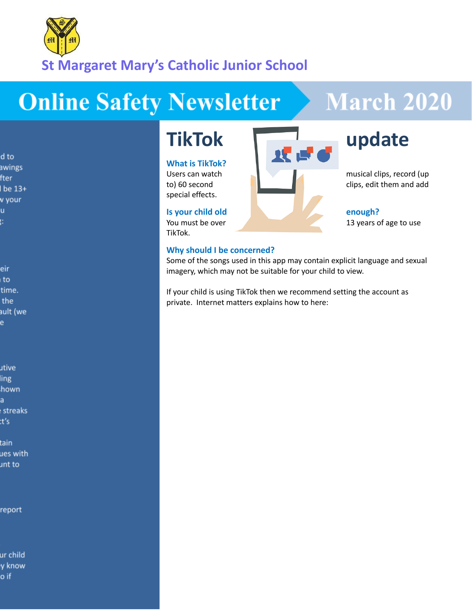

# **Online Safety Newsletter**

# **March 2020**

d to awings fter be 13+ v your u. ŧ.

eir ı to time. the ault (we e

utive ling hown a streaks :t's

tain ues with unt to

report

ur child y know o if

## **What is TikTok?**

special effects.

TikTok.

### **Why should I be concerned?**



Some of the songs used in this app may contain explicit language and sexual imagery, which may not be suitable for your child to view.

If your child is using TikTok then we recommend setting the account as private. Internet matters explains how to here: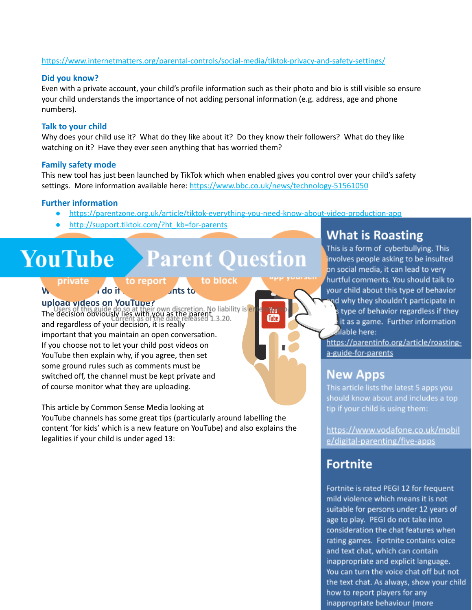### <https://www.internetmatters.org/parental-controls/social-media/tiktok-privacy-and-safety-settings/>

### **Did you know?**

Even with a private account, your child's profile information such as their photo and bio is still visible so ensure your child understands the importance of not adding personal information (e.g. address, age and phone numbers).

### **Talk to your child**

Why does your child use it? What do they like about it? Do they know their followers? What do they like watching on it? Have they ever seen anything that has worried them?

#### **Family safety mode**

This new tool has just been launched by TikTok which when enabled gives you control over your child's safety settings. More information available here: <https://www.bbc.co.uk/news/technology-51561050>

#### **Further information**

● <https://parentzone.org.uk/article/tiktok-everything-you-need-know-about-video-production-app>

**Tube** 

[http://support.tiktok.com/?ht\\_kb=for-parents](http://support.tiktok.com/?ht_kb=for-parents)

# **YouTube** Parent Question

to report to block private **What should I do if my child wants to**

**upload videos on YouTube?** The decision obviously lies with you as the parent and regardless of your decision, it is really important that you maintain an open conversation. If you choose not to let your child post videos on YouTube then explain why, if you agree, then set some ground rules such as comments must be switched off, the channel must be kept private and of course monitor what they are uploading.

This article by Common Sense Media looking at

YouTube channels has some great tips (particularly around labelling the content 'for kids' which is a new feature on YouTube) and also explains the legalities if your child is under aged 13:

# **What is Roasting**

This is a form of cyberbullying. This involves people asking to be insulted on social media, it can lead to very hurtful comments. You should talk to your child about this type of behavior nd why they shouldn't participate in s type of behavior regardless if they it as a game. Further information allable here:

https://parentinfo.org/article/roastinga-guide-for-parents

## **New Apps**

This article lists the latest 5 apps you should know about and includes a top tip if your child is using them:

https://www.vodafone.co.uk/mobil e/digital-parenting/five-apps

# Fortnite

Fortnite is rated PEGI 12 for frequent mild violence which means it is not suitable for persons under 12 years of age to play. PEGI do not take into consideration the chat features when rating games. Fortnite contains voice and text chat, which can contain inappropriate and explicit language. You can turn the voice chat off but not the text chat. As always, show your child how to report players for any inappropriate behaviour (more